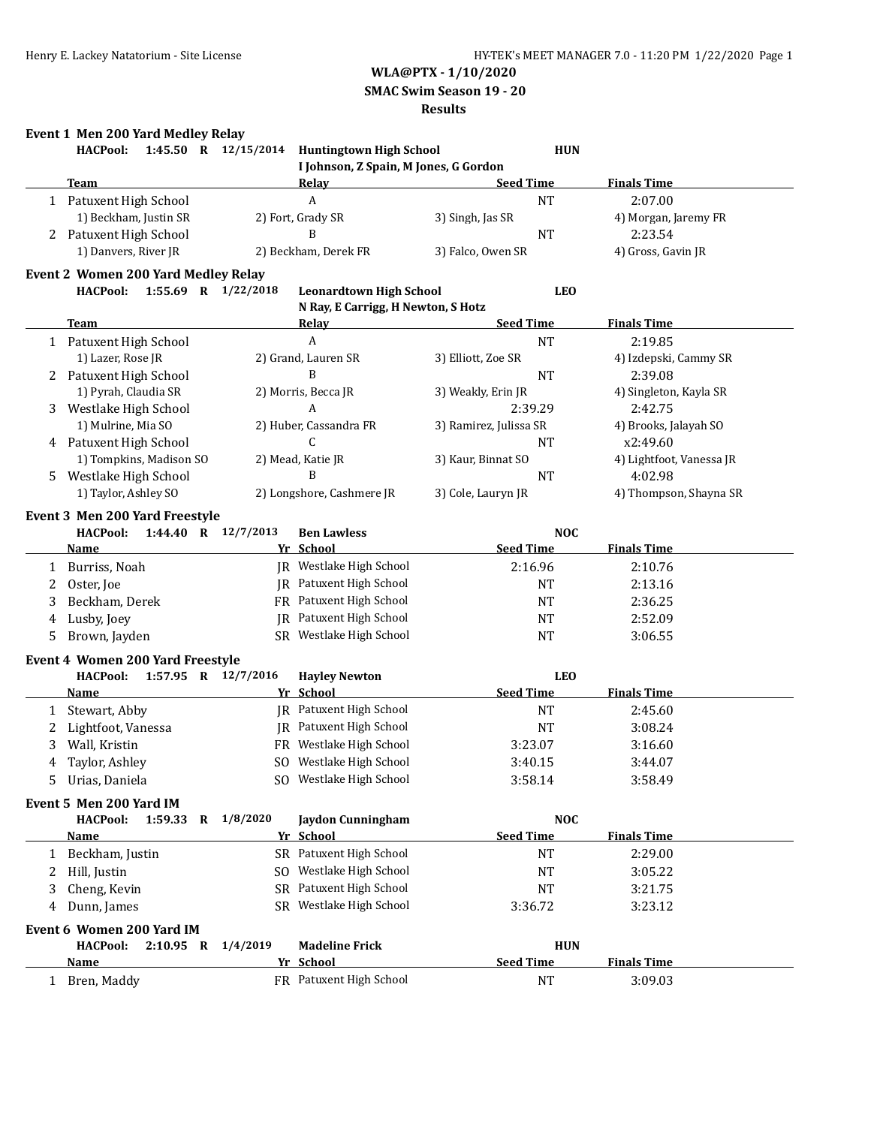**SMAC Swim Season 19 - 20**

### **Results**

# **Event 1 Men 200 Yard Medley Relay**

|              | <b>HACPool:</b>                                                                        | 1:45.50 R 12/15/2014 Huntingtown High School                         | <b>HUN</b>             |                          |
|--------------|----------------------------------------------------------------------------------------|----------------------------------------------------------------------|------------------------|--------------------------|
|              |                                                                                        | I Johnson, Z Spain, M Jones, G Gordon                                |                        |                          |
|              | <b>Team</b>                                                                            | <b>Relay</b>                                                         | <b>Seed Time</b>       | <b>Finals Time</b>       |
|              | 1 Patuxent High School                                                                 | $\boldsymbol{A}$                                                     | <b>NT</b>              | 2:07.00                  |
|              | 1) Beckham, Justin SR                                                                  | 2) Fort, Grady SR                                                    | 3) Singh, Jas SR       | 4) Morgan, Jaremy FR     |
| 2            | Patuxent High School                                                                   | B                                                                    | <b>NT</b>              | 2:23.54                  |
|              | 1) Danvers, River JR                                                                   | 2) Beckham, Derek FR                                                 | 3) Falco, Owen SR      | 4) Gross, Gavin JR       |
|              |                                                                                        |                                                                      |                        |                          |
|              | <b>Event 2 Women 200 Yard Medley Relay</b><br><b>HACPool:</b><br>1:55.69 R $1/22/2018$ |                                                                      | <b>LEO</b>             |                          |
|              |                                                                                        | <b>Leonardtown High School</b><br>N Ray, E Carrigg, H Newton, S Hotz |                        |                          |
|              | Team                                                                                   |                                                                      | <b>Seed Time</b>       | <b>Finals Time</b>       |
|              |                                                                                        | <b>Relay</b><br>$\boldsymbol{A}$                                     |                        |                          |
|              | 1 Patuxent High School                                                                 |                                                                      | <b>NT</b>              | 2:19.85                  |
|              | 1) Lazer, Rose JR                                                                      | 2) Grand, Lauren SR                                                  | 3) Elliott, Zoe SR     | 4) Izdepski, Cammy SR    |
|              | 2 Patuxent High School                                                                 | B                                                                    | <b>NT</b>              | 2:39.08                  |
|              | 1) Pyrah, Claudia SR                                                                   | 2) Morris, Becca JR                                                  | 3) Weakly, Erin JR     | 4) Singleton, Kayla SR   |
| 3            | Westlake High School                                                                   | A                                                                    | 2:39.29                | 2:42.75                  |
|              | 1) Mulrine, Mia SO                                                                     | 2) Huber, Cassandra FR                                               | 3) Ramirez, Julissa SR | 4) Brooks, Jalayah SO    |
|              | 4 Patuxent High School                                                                 | C                                                                    | <b>NT</b>              | x2:49.60                 |
|              | 1) Tompkins, Madison SO                                                                | 2) Mead, Katie JR                                                    | 3) Kaur, Binnat SO     | 4) Lightfoot, Vanessa JR |
| 5.           | Westlake High School                                                                   | B                                                                    | <b>NT</b>              | 4:02.98                  |
|              | 1) Taylor, Ashley SO                                                                   | 2) Longshore, Cashmere JR                                            | 3) Cole, Lauryn JR     | 4) Thompson, Shayna SR   |
|              | Event 3 Men 200 Yard Freestyle                                                         |                                                                      |                        |                          |
|              | 1:44.40 R 12/7/2013<br><b>HACPool:</b>                                                 | <b>Ben Lawless</b>                                                   | <b>NOC</b>             |                          |
|              | <u>Name</u>                                                                            | Yr School                                                            | <b>Seed Time</b>       | <b>Finals Time</b>       |
|              |                                                                                        | JR Westlake High School                                              |                        |                          |
| $\mathbf{1}$ | Burriss, Noah                                                                          |                                                                      | 2:16.96                | 2:10.76                  |
| 2            | Oster, Joe                                                                             | <b>IR</b> Patuxent High School                                       | <b>NT</b>              | 2:13.16                  |
| 3            | Beckham, Derek                                                                         | FR Patuxent High School                                              | <b>NT</b>              | 2:36.25                  |
| 4            | Lusby, Joey                                                                            | JR Patuxent High School                                              | <b>NT</b>              | 2:52.09                  |
| 5            | Brown, Jayden                                                                          | SR Westlake High School                                              | <b>NT</b>              | 3:06.55                  |
|              | <b>Event 4 Women 200 Yard Freestyle</b>                                                |                                                                      |                        |                          |
|              | <b>HACPool:</b><br>1:57.95 R 12/7/2016                                                 | <b>Hayley Newton</b>                                                 | <b>LEO</b>             |                          |
|              | Name                                                                                   | Yr School                                                            | <b>Seed Time</b>       | <b>Finals Time</b>       |
| 1            | Stewart, Abby                                                                          | JR Patuxent High School                                              | NT                     | 2:45.60                  |
|              | Lightfoot, Vanessa                                                                     | JR Patuxent High School                                              | <b>NT</b>              | 3:08.24                  |
| 2            |                                                                                        |                                                                      |                        |                          |
| 3            | Wall, Kristin                                                                          | FR Westlake High School                                              | 3:23.07                | 3:16.60                  |
| 4            | Taylor, Ashley                                                                         | SO Westlake High School                                              | 3:40.15                | 3:44.07                  |
| 5.           | Urias, Daniela                                                                         | SO Westlake High School                                              | 3:58.14                | 3:58.49                  |
|              | Event 5 Men 200 Yard IM                                                                |                                                                      |                        |                          |
|              | <b>HACPool:</b><br>1:59.33 R 1/8/2020                                                  | <b>Jaydon Cunningham</b>                                             | <b>NOC</b>             |                          |
|              | Name                                                                                   | Yr School                                                            | <b>Seed Time</b>       | <b>Finals Time</b>       |
| 1            | Beckham, Justin                                                                        | SR Patuxent High School                                              | <b>NT</b>              | 2:29.00                  |
| 2            | Hill, Justin                                                                           | SO Westlake High School                                              | NT                     | 3:05.22                  |
|              |                                                                                        | SR Patuxent High School                                              |                        |                          |
| 3            | Cheng, Kevin                                                                           |                                                                      | <b>NT</b>              | 3:21.75                  |
|              | Dunn, James                                                                            | SR Westlake High School                                              | 3:36.72                | 3:23.12                  |
|              | Event 6 Women 200 Yard IM                                                              |                                                                      |                        |                          |
|              | <b>HACPool:</b><br>2:10.95 R 1/4/2019                                                  | <b>Madeline Frick</b>                                                | <b>HUN</b>             |                          |
|              | <u>Name</u>                                                                            | Yr School                                                            | <b>Seed Time</b>       | <b>Finals Time</b>       |
|              | 1 Bren, Maddy                                                                          | FR Patuxent High School                                              | <b>NT</b>              | 3:09.03                  |
|              |                                                                                        |                                                                      |                        |                          |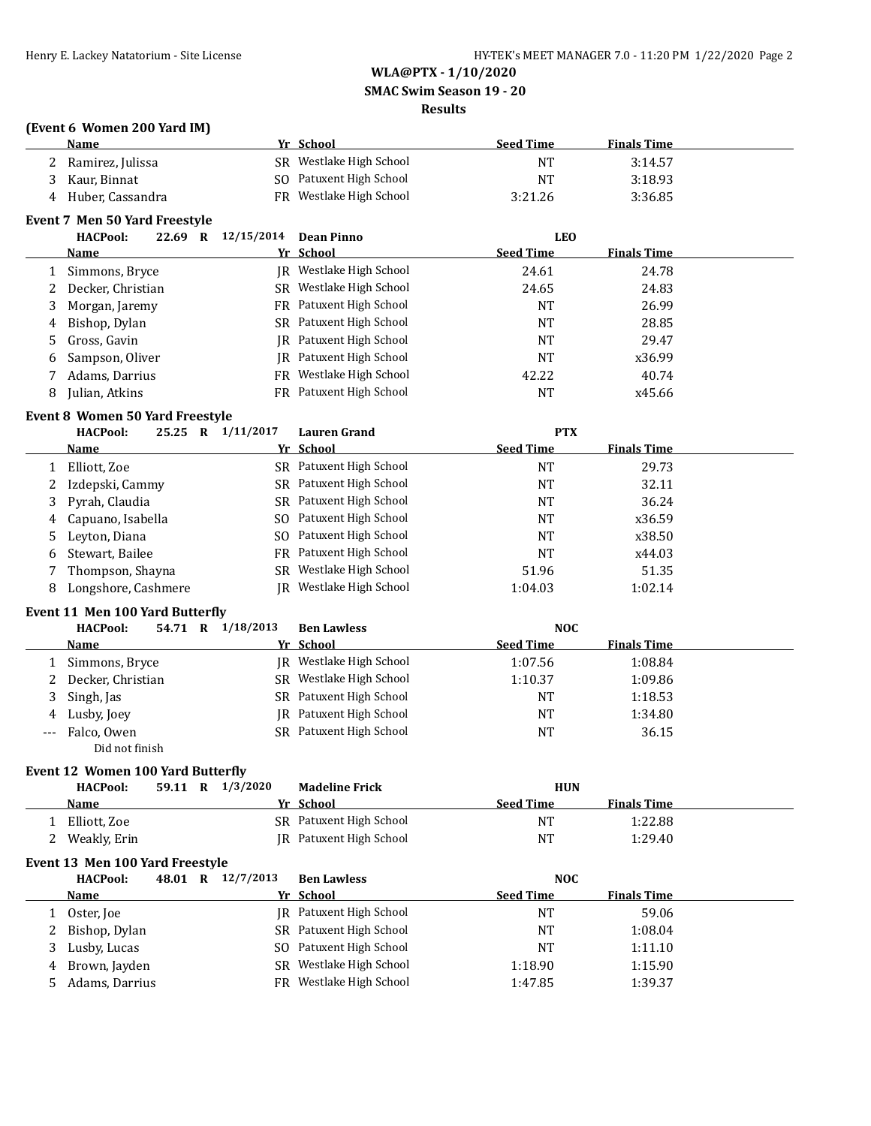**SMAC Swim Season 19 - 20**

# **Results**

### **(Event 6 Women 200 Yard IM)**

| Name               | Yr School               | <b>Seed Time</b> | <b>Finals Time</b> |
|--------------------|-------------------------|------------------|--------------------|
| 2 Ramirez, Julissa | SR Westlake High School | NT               | 3:14.57            |
| 3 Kaur, Binnat     | SO Patuxent High School | NT               | 3:18.93            |
| 4 Huber, Cassandra | FR Westlake High School | 3:21.26          | 3:36.85            |

## **Event 7 Men 50 Yard Freestyle**

|   | <b>HACPool:</b><br>22.69<br>R | 12/15/2014<br>Dean Pinno       | <b>LEO</b>                             |        |
|---|-------------------------------|--------------------------------|----------------------------------------|--------|
|   | Name                          | Yr School                      | <b>Finals Time</b><br><b>Seed Time</b> |        |
|   | Simmons, Bryce                | JR Westlake High School        | 24.61                                  | 24.78  |
|   | 2 Decker, Christian           | SR Westlake High School        | 24.65                                  | 24.83  |
|   | 3 Morgan, Jaremy              | FR Patuxent High School        | <b>NT</b>                              | 26.99  |
|   | 4 Bishop, Dylan               | SR Patuxent High School        | NT                                     | 28.85  |
|   | 5 Gross, Gavin                | IR Patuxent High School        | NT                                     | 29.47  |
|   | 6 Sampson, Oliver             | IR Patuxent High School        | NT                                     | x36.99 |
|   | Adams, Darrius                | FR Westlake High School        | 42.22                                  | 40.74  |
| 8 | Julian, Atkins                | <b>FR</b> Patuxent High School | NT                                     | x45.66 |

### **Event 8 Women 50 Yard Freestyle**

|   | <b>HACPool:</b><br>25.25<br>$\mathbf R$ | 1/11/2017 | <b>Lauren Grand</b>     | <b>PTX</b>       |                    |  |
|---|-----------------------------------------|-----------|-------------------------|------------------|--------------------|--|
|   | Name                                    |           | Yr School               | <b>Seed Time</b> | <b>Finals Time</b> |  |
|   | Elliott, Zoe                            |           | SR Patuxent High School | NT               | 29.73              |  |
| 2 | Izdepski, Cammy                         |           | SR Patuxent High School | NT               | 32.11              |  |
|   | 3 Pyrah, Claudia                        |           | SR Patuxent High School | NT               | 36.24              |  |
|   | 4 Capuano, Isabella                     |           | SO Patuxent High School | NT               | x36.59             |  |
|   | 5 Leyton, Diana                         |           | SO Patuxent High School | <b>NT</b>        | x38.50             |  |
| 6 | Stewart, Bailee                         |           | FR Patuxent High School | <b>NT</b>        | x44.03             |  |
|   | Thompson, Shayna                        |           | SR Westlake High School | 51.96            | 51.35              |  |
|   | Longshore, Cashmere                     |           | JR Westlake High School | 1:04.03          | 1:02.14            |  |

## **Event 11 Men 100 Yard Butterfly**

|   | <b>HACPool:</b><br>54.71<br>R | 1/18/2013<br><b>Ben Lawless</b> | <b>NOC</b>                             |  |
|---|-------------------------------|---------------------------------|----------------------------------------|--|
|   | Name                          | Yr School                       | <b>Seed Time</b><br><b>Finals Time</b> |  |
|   | Simmons, Bryce                | IR Westlake High School         | 1:08.84<br>1:07.56                     |  |
|   | 2 Decker, Christian           | SR Westlake High School         | 1:10.37<br>1:09.86                     |  |
| 3 | Singh, Jas                    | SR Patuxent High School         | 1:18.53<br>NT                          |  |
|   | 4 Lusby, Joey                 | IR Patuxent High School         | <b>NT</b><br>1:34.80                   |  |
|   | --- Falco, Owen               | SR Patuxent High School         | <b>NT</b><br>36.15                     |  |
|   | Did not finish                |                                 |                                        |  |

# **Event 12 Women 100 Yard Butterfly**

| <b>HACPool:</b> | 59.11<br>$\mathbf{R}$ | 1/3/2020 | <b>Madeline Frick</b>   |                  | <b>HUN</b>         |  |
|-----------------|-----------------------|----------|-------------------------|------------------|--------------------|--|
| Name            |                       |          | Yr School               | <b>Seed Time</b> | <b>Finals Time</b> |  |
| Elliott, Zoe    |                       |          | SR Patuxent High School | NT               | 1:22.88            |  |
| Weakly, Erin    |                       |          | IR Patuxent High School | <b>NT</b>        | 1:29.40            |  |

### **Event 13 Men 100 Yard Freestyle**

| <b>HACPool:</b> |  | 48.01 R 12/7/2013 | <b>Ben Lawless</b>             |                  | <b>NOC</b>         |  |
|-----------------|--|-------------------|--------------------------------|------------------|--------------------|--|
| Name            |  |                   | Yr School                      | <b>Seed Time</b> | <b>Finals Time</b> |  |
| Oster, Joe      |  |                   | <b>IR</b> Patuxent High School | <b>NT</b>        | 59.06              |  |
| 2 Bishop, Dylan |  |                   | SR Patuxent High School        | <b>NT</b>        | 1:08.04            |  |
| 3 Lusby, Lucas  |  |                   | SO Patuxent High School        | <b>NT</b>        | 1:11.10            |  |
| 4 Brown, Jayden |  |                   | SR Westlake High School        | 1:18.90          | 1:15.90            |  |
| Adams, Darrius  |  |                   | FR Westlake High School        | 1:47.85          | 1:39.37            |  |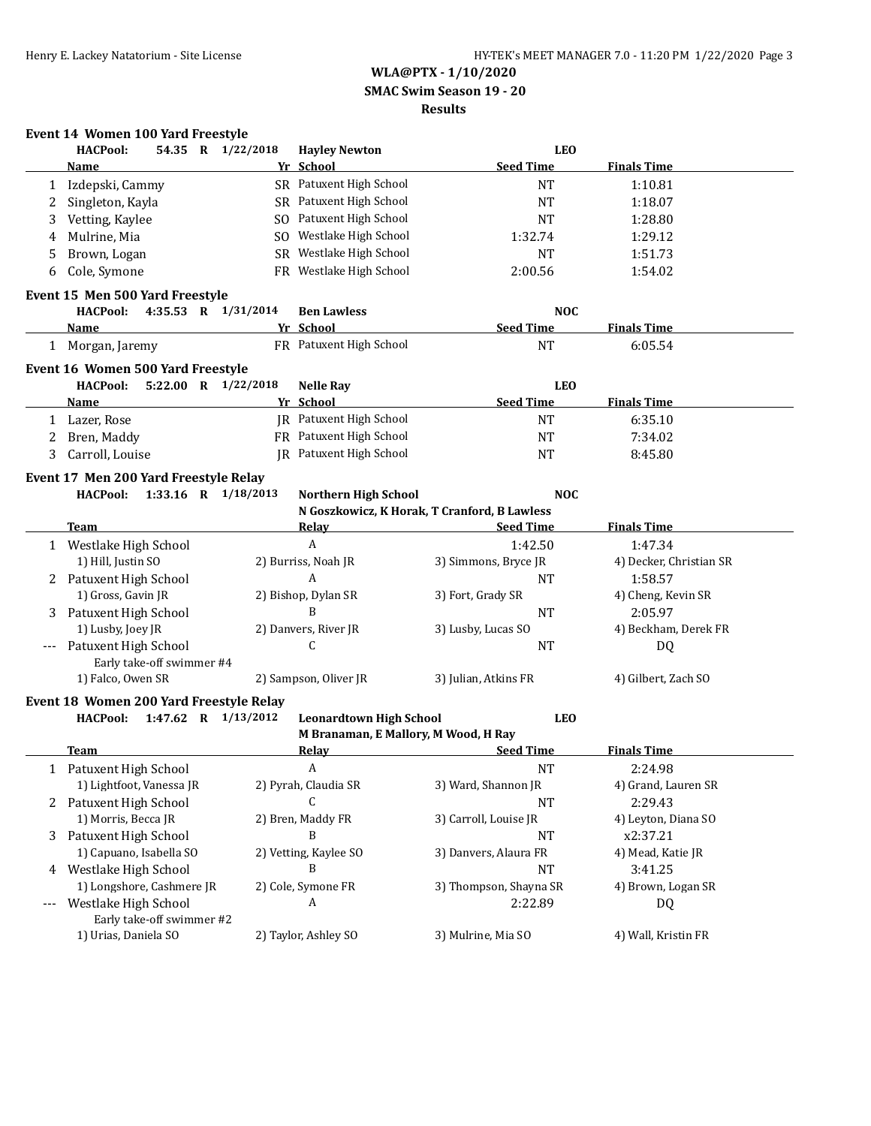**SMAC Swim Season 19 - 20**

### **Results**

# **Event 14 Women 100 Yard Freestyle<br>HACPool:** 54.35 R 1/22/

| Yr School<br><b>Seed Time</b><br><b>Finals Time</b><br><b>Name</b><br>SR Patuxent High School<br>Izdepski, Cammy<br><b>NT</b><br>1:10.81<br>1<br>SR Patuxent High School<br>Singleton, Kayla<br><b>NT</b><br>1:18.07<br>2<br>SO Patuxent High School |  |
|------------------------------------------------------------------------------------------------------------------------------------------------------------------------------------------------------------------------------------------------------|--|
|                                                                                                                                                                                                                                                      |  |
|                                                                                                                                                                                                                                                      |  |
|                                                                                                                                                                                                                                                      |  |
| Vetting, Kaylee<br><b>NT</b><br>1:28.80<br>3                                                                                                                                                                                                         |  |
| SO Westlake High School<br>Mulrine, Mia<br>1:32.74<br>1:29.12<br>4                                                                                                                                                                                   |  |
| SR Westlake High School<br>Brown, Logan<br>1:51.73<br>NT<br>5                                                                                                                                                                                        |  |
| FR Westlake High School<br>Cole, Symone<br>2:00.56<br>1:54.02<br>6                                                                                                                                                                                   |  |
| Event 15 Men 500 Yard Freestyle                                                                                                                                                                                                                      |  |
| <b>HACPool:</b><br>4:35.53 R 1/31/2014<br><b>Ben Lawless</b><br><b>NOC</b>                                                                                                                                                                           |  |
| Yr School<br><b>Seed Time</b><br><b>Finals Time</b><br><u>Name</u>                                                                                                                                                                                   |  |
| FR Patuxent High School<br><b>NT</b><br>6:05.54<br>1 Morgan, Jaremy                                                                                                                                                                                  |  |
| Event 16 Women 500 Yard Freestyle                                                                                                                                                                                                                    |  |
| <b>HACPool:</b><br>5:22.00 R 1/22/2018<br><b>LEO</b><br><b>Nelle Ray</b>                                                                                                                                                                             |  |
| Yr School<br><b>Seed Time</b><br><b>Finals Time</b><br><b>Name</b>                                                                                                                                                                                   |  |
| JR Patuxent High School<br><b>NT</b><br>6:35.10<br>1 Lazer, Rose                                                                                                                                                                                     |  |
| FR Patuxent High School<br>Bren, Maddy<br><b>NT</b><br>7:34.02<br>2                                                                                                                                                                                  |  |
| JR Patuxent High School<br>Carroll, Louise<br><b>NT</b><br>8:45.80<br>3                                                                                                                                                                              |  |
| Event 17 Men 200 Yard Freestyle Relay                                                                                                                                                                                                                |  |
| 1:33.16 R 1/18/2013<br><b>NOC</b><br><b>HACPool:</b><br><b>Northern High School</b>                                                                                                                                                                  |  |
| N Goszkowicz, K Horak, T Cranford, B Lawless                                                                                                                                                                                                         |  |
| <b>Seed Time</b><br><b>Finals Time</b><br><b>Team</b><br>Relay                                                                                                                                                                                       |  |
| A<br>1:42.50<br>1 Westlake High School<br>1:47.34                                                                                                                                                                                                    |  |
| 1) Hill, Justin SO<br>2) Burriss, Noah JR<br>3) Simmons, Bryce JR<br>4) Decker, Christian SR                                                                                                                                                         |  |
| 2 Patuxent High School<br>A<br>1:58.57<br>NT                                                                                                                                                                                                         |  |
| 1) Gross, Gavin JR<br>2) Bishop, Dylan SR<br>3) Fort, Grady SR<br>4) Cheng, Kevin SR                                                                                                                                                                 |  |
| B<br>Patuxent High School<br><b>NT</b><br>2:05.97<br>3                                                                                                                                                                                               |  |
| 1) Lusby, Joey JR<br>2) Danvers, River JR<br>3) Lusby, Lucas SO<br>4) Beckham, Derek FR                                                                                                                                                              |  |
| С<br>Patuxent High School<br><b>NT</b><br>DQ                                                                                                                                                                                                         |  |
| Early take-off swimmer #4                                                                                                                                                                                                                            |  |
| 1) Falco, Owen SR<br>2) Sampson, Oliver JR<br>3) Julian, Atkins FR<br>4) Gilbert, Zach SO                                                                                                                                                            |  |
| Event 18 Women 200 Yard Freestyle Relay                                                                                                                                                                                                              |  |
| 1:47.62 R 1/13/2012<br><b>Leonardtown High School</b><br><b>LEO</b><br><b>HACPool:</b>                                                                                                                                                               |  |
| M Branaman, E Mallory, M Wood, H Ray                                                                                                                                                                                                                 |  |
|                                                                                                                                                                                                                                                      |  |
| <b>Relay</b><br><b>Seed Time</b><br><b>Finals Time</b><br>Team                                                                                                                                                                                       |  |
| A<br>1 Patuxent High School<br><b>NT</b><br>2:24.98                                                                                                                                                                                                  |  |
| 1) Lightfoot, Vanessa JR<br>3) Ward, Shannon JR<br>4) Grand, Lauren SR<br>2) Pyrah, Claudia SR                                                                                                                                                       |  |
| C<br>2 Patuxent High School<br>2:29.43<br>NT                                                                                                                                                                                                         |  |
| 1) Morris, Becca JR<br>2) Bren, Maddy FR<br>3) Carroll, Louise JR<br>4) Leyton, Diana SO                                                                                                                                                             |  |
| B<br>3 Patuxent High School<br>NT<br>x2:37.21                                                                                                                                                                                                        |  |
| 1) Capuano, Isabella SO<br>2) Vetting, Kaylee SO<br>3) Danvers, Alaura FR<br>4) Mead, Katie JR<br>B                                                                                                                                                  |  |
| 4 Westlake High School<br>NT<br>3:41.25                                                                                                                                                                                                              |  |
| 1) Longshore, Cashmere JR<br>2) Cole, Symone FR<br>3) Thompson, Shayna SR<br>4) Brown, Logan SR<br>A<br>---                                                                                                                                          |  |
| Westlake High School<br>2:22.89<br>DQ<br>Early take-off swimmer #2                                                                                                                                                                                   |  |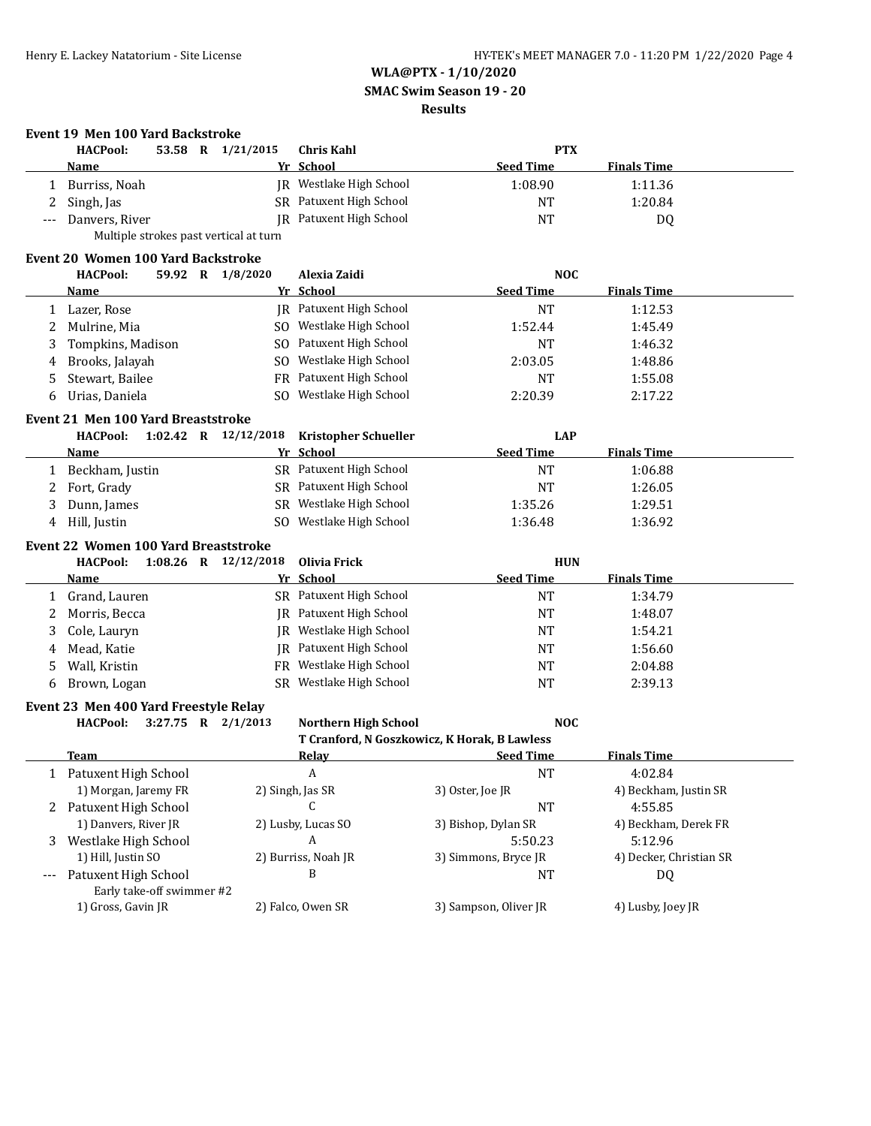### **SMAC Swim Season 19 - 20**

### **Results**

# **Event 19 Men 100 Yard Backstroke**

| <b>HACPool:</b>    | 53.58 | R | 1/21/2015                              | Chris Kahl              | <b>PTX</b>       |                    |  |
|--------------------|-------|---|----------------------------------------|-------------------------|------------------|--------------------|--|
| <b>Name</b>        |       |   |                                        | Yr School               | <b>Seed Time</b> | <b>Finals Time</b> |  |
| Burriss, Noah      |       |   | IR -                                   | Westlake High School    | 1:08.90          | 1:11.36            |  |
| 2 Singh, Jas       |       |   |                                        | SR Patuxent High School | <b>NT</b>        | 1:20.84            |  |
| --- Danvers, River |       |   |                                        | IR Patuxent High School | NT               | D0                 |  |
|                    |       |   | Multiple strokes past vertical at turn |                         |                  |                    |  |

### **Event 20 Women 100 Yard Backstroke**

|   | <b>HACPool:</b><br>59.92<br>R | 1/8/2020 | Alexia Zaidi                   |                  | <b>NOC</b>         |  |
|---|-------------------------------|----------|--------------------------------|------------------|--------------------|--|
|   | Name                          |          | Yr School                      | <b>Seed Time</b> | <b>Finals Time</b> |  |
|   | Lazer, Rose                   |          | <b>IR</b> Patuxent High School | NT               | 1:12.53            |  |
|   | 2 Mulrine, Mia                | SO.      | Westlake High School           | 1:52.44          | 1:45.49            |  |
| 3 | Tompkins, Madison             |          | SO Patuxent High School        | <b>NT</b>        | 1:46.32            |  |
|   | 4 Brooks, Jalayah             | SO.      | Westlake High School           | 2:03.05          | 1:48.86            |  |
|   | 5 Stewart, Bailee             |          | FR Patuxent High School        | NT               | 1:55.08            |  |
| 6 | Urias, Daniela                | SO.      | Westlake High School           | 2:20.39          | 2:17.22            |  |

# **Event 21 Men 100 Yard Breaststroke**

|   | <b>HACPool:</b> | $1:02.42$ R $12/12/2018$ Kristopher Schueller | LAP              |                    |
|---|-----------------|-----------------------------------------------|------------------|--------------------|
|   | <b>Name</b>     | Yr School                                     | <b>Seed Time</b> | <b>Finals Time</b> |
|   | Beckham, Justin | SR Patuxent High School                       | NT               | 1:06.88            |
|   | 2 Fort, Grady   | SR Patuxent High School                       | NT               | 1:26.05            |
|   | Dunn, James     | SR Westlake High School                       | 1:35.26          | 1:29.51            |
| 4 | Hill, Justin    | Westlake High School<br>SO.                   | 1:36.48          | 1:36.92            |

### **Event 22 Women 100 Yard Breaststroke**

|   | $1:08.26$ R<br><b>HACPool:</b> | 12/12/2018 Olivia Frick        | <b>HUN</b>                             |  |
|---|--------------------------------|--------------------------------|----------------------------------------|--|
|   | <b>Name</b>                    | Yr School                      | <b>Finals Time</b><br><b>Seed Time</b> |  |
|   | Grand, Lauren                  | SR Patuxent High School        | 1:34.79<br>ΝT                          |  |
|   | Morris, Becca                  | <b>IR</b> Patuxent High School | <b>NT</b><br>1:48.07                   |  |
| 3 | Cole, Lauryn                   | JR Westlake High School        | 1:54.21<br><b>NT</b>                   |  |
| 4 | Mead. Katie                    | <b>IR</b> Patuxent High School | <b>NT</b><br>1:56.60                   |  |
| 5 | Wall, Kristin                  | FR Westlake High School        | 2:04.88<br><b>NT</b>                   |  |
| 6 | Brown, Logan                   | Westlake High School<br>SR.    | 2:39.13<br><b>NT</b>                   |  |

### **Event 23 Men 400 Yard Freestyle Relay**

**HACPool: 3:27.75 R 2/1/2013 Northern High School NOC**

**T Cranford, N Goszkowicz, K Horak, B Lawless**

|       | Team                      | Relay               | <b>Seed Time</b>      | <b>Finals Time</b>      |
|-------|---------------------------|---------------------|-----------------------|-------------------------|
|       | Patuxent High School      | A                   | <b>NT</b>             | 4:02.84                 |
|       | 1) Morgan, Jaremy FR      | 2) Singh, Jas SR    | 3) Oster, Joe JR      | 4) Beckham, Justin SR   |
| 2     | Patuxent High School      | C                   | NT                    | 4:55.85                 |
|       | 1) Danvers, River JR      | 2) Lusby, Lucas SO  | 3) Bishop, Dylan SR   | 4) Beckham, Derek FR    |
| 3     | Westlake High School      | A                   | 5:50.23               | 5:12.96                 |
|       | 1) Hill, Justin SO        | 2) Burriss, Noah JR | 3) Simmons, Bryce JR  | 4) Decker, Christian SR |
| $---$ | Patuxent High School      | B                   | NΤ                    | DQ                      |
|       | Early take-off swimmer #2 |                     |                       |                         |
|       | 1) Gross, Gavin JR        | 2) Falco, Owen SR   | 3) Sampson, Oliver JR | 4) Lusby, Joey JR       |
|       |                           |                     |                       |                         |